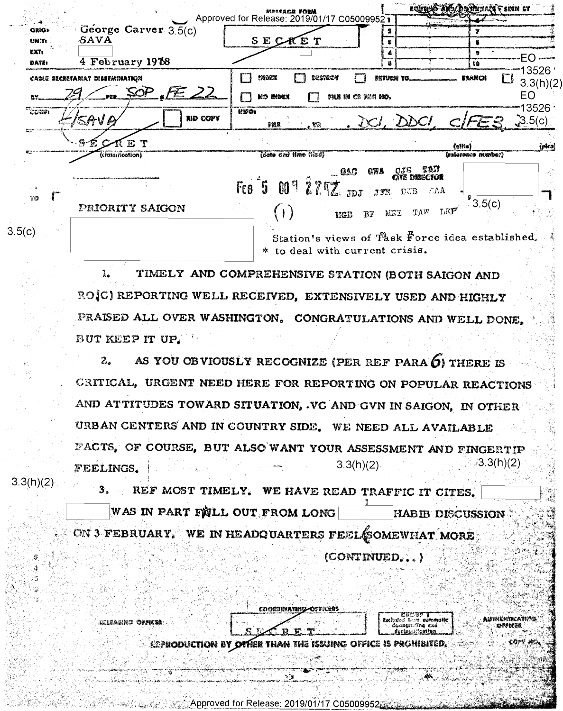|                    |                                           |                                                                                   | <b>ROUTION</b>                                            | <b>INTIALS &amp; SESM OF</b>       |
|--------------------|-------------------------------------------|-----------------------------------------------------------------------------------|-----------------------------------------------------------|------------------------------------|
|                    |                                           | Approved for Release: 2019/01/17 C05009952                                        |                                                           |                                    |
| <b>GRIG+</b>       | George Carver 3.5(c)                      |                                                                                   |                                                           |                                    |
| <b>UNIT:</b>       | -SAVA                                     | SECKET                                                                            | Ð                                                         |                                    |
| <b>EXT:</b>        |                                           |                                                                                   |                                                           |                                    |
| DATE:              | 4 February 1978                           |                                                                                   | В                                                         | BØ                                 |
|                    | CABLE SECRETARIAT DISSEMINATION           | index<br>destroy<br>$\blacksquare$                                                | <b>RETURN TO.</b>                                         | 3526<br><b>BRANCH</b><br>3.3(h)(2) |
|                    | FE 22                                     | <b>MO INDEX</b><br>FILE IN CS FILE MO.                                            |                                                           | EO.                                |
| $T_{\text{CDMP1}}$ | RID COPY<br>'SAVA                         | litif o :<br>$\mathbb{R}$<br>pma                                                  | . DCI, DDCI, CIFES                                        | 13526<br>3.5(c)                    |
|                    | <b>The contract contract of the</b><br>E. |                                                                                   | (olite)                                                   | (olca)                             |
|                    | (classification)                          | (data and time (lico)                                                             |                                                           | (reference number)                 |
| <b>TO</b>          |                                           | Feo 5 009 27.77 JDJ                                                               | GAC GWA CJS TAJI<br>$\mathbb{E}\Lambda\Lambda$<br>JFR DUB |                                    |
|                    | <b>PRIORITY SAIGON</b>                    | <b>EGD</b>                                                                        | TAW LKP<br>BF MEE                                         | 3.5(c)                             |
| 3.5(c)             |                                           | Station's views of Task Force idea established.<br>* to deal with current crisis. |                                                           |                                    |

TIMELY AND COMPREHENSIVE STATION (BOTH SAIGON AND 1. ROIC) REPORTING WELL RECEIVED, EXTENSIVELY USED AND HIGHLY PRAISED ALL OVER WASHINGTON. CONGRATULATIONS AND WELL DONE. BUT KEEP IT UP.

 $z<sub>1</sub>$ AS YOU OBVIOUSLY RECOGNIZE (PER REF PARA O) THERE IS CRITICAL, URGENT NEED HERE FOR REPORTING ON POPULAR REACTIONS AND ATTITUDES TOWARD SITUATION, . VC AND GVN IN SAIGON, IN OTHER URBAN CENTERS AND IN COUNTRY SIDE. WE NEED ALL AVAILABLE FACTS, OF COURSE, BUT ALSO WANT YOUR ASSESSMENT AND FINGERTIP ∂3.3(h)(2)  $3.3(h)(2)$ FEELINGS.

3. REF MOST TIMELY. WE HAVE READ TRAFFIC IT CITES. WAS IN PART FIJLL OUT FROM LONG **HABIB DISCUSSION** ON 3 FEBRUARY. WE IN HEADQUARTERS FEEL SOMEWHAT MORE (CONTINUED.

 $3.3(h)(2)$ 

COORGINATING **ESPRODUCTION BY OTHER THAN** ISSUING Office is prohibited,

Approved for Relea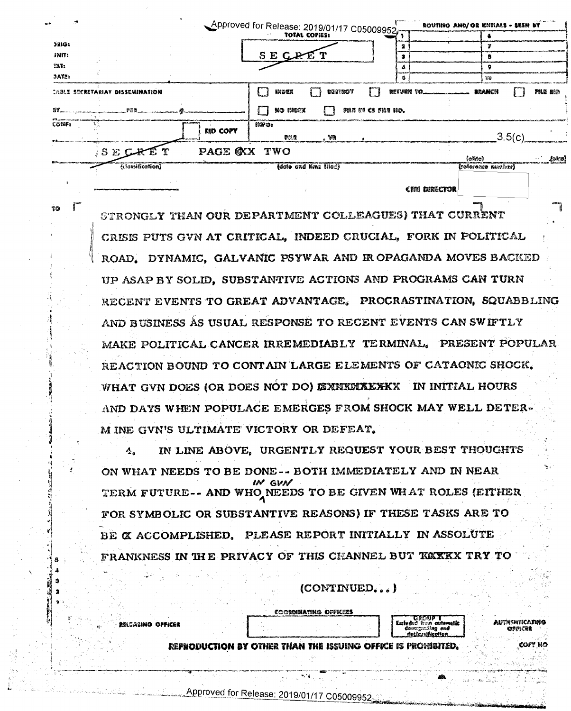|                          |                                        |                 | Approved for Release: 2019/01/17 C05009952 |                       |                    |   |           | ROUTING AND/ OR INITIALS - SEEN BY | and continuously freely. |
|--------------------------|----------------------------------------|-----------------|--------------------------------------------|-----------------------|--------------------|---|-----------|------------------------------------|--------------------------|
|                          |                                        |                 |                                            |                       |                    |   |           |                                    |                          |
| 2RIG:                    |                                        |                 |                                            |                       |                    |   |           |                                    |                          |
| JNIT:                    |                                        |                 | SECRET                                     |                       |                    |   |           |                                    |                          |
| 287.                     |                                        |                 |                                            |                       |                    |   |           |                                    |                          |
| <b>JAYE:</b>             |                                        |                 |                                            |                       |                    | ß |           | 19                                 |                          |
| 87.                      | <b>CABLE SECRETARIAY DISSERINATION</b> |                 | imoex<br>no mbrz                           | <b>DESTROY</b>        | FOR ON CS FIRE NO. |   | RETURN TO | BRANCH                             | <b>FILE BIG</b>          |
| $\overline{\text{CONF}}$ |                                        | <b>RID COPY</b> | IMFO:<br>膠胞體                               | . VO                  |                    |   |           | 3.5(c)                             |                          |
|                          | SECRET                                 | PAGE OXX TWO    |                                            |                       |                    |   |           | feillei                            | ં 401                    |
|                          | (classification)                       |                 |                                            | (date and time filed) |                    |   |           | (reference number)                 |                          |
|                          |                                        |                 |                                            |                       |                    |   |           |                                    |                          |

CITE DIRECTOR

**TOTT** 

STRONGLY THAN OUR DEPARTMENT COLLEAGUES) THAT CURRENT CRISIS PUTS GVN AT CRITICAL, INDEED CRUCIAL, FORK IN POLITICAL ROAD. DYNAMIC. GALVANIC PSYWAR AND IROPAGANDA MOVES BACKED UP ASAP BY SOLID, SUBSTANTIVE ACTIONS AND PROGRAMS CAN TURN RECENT EVENTS TO GREAT ADVANTAGE. PROCRASTINATION, SQUABBLING AND BUSINESS AS USUAL RESPONSE TO RECENT EVENTS CAN SWIFTLY MAKE POLITICAL CANCER IRREMEDIABLY TERMINAL. PRESENT POPULAR REACTION BOUND TO CONTAIN LARGE ELEMENTS OF CATAONIC SHOCK. WHAT GVN DOES (OR DOES NOT DO) EXNIKMXKXKX IN INITIAL HOURS AND DAYS WHEN POPULACE EMERGES FROM SHOCK MAY WELL DETER-M INE GVN'S ULTIMATE VICTORY OR DEFEAT.

IN LINE ABOVE, URGENTLY REQUEST YOUR BEST THOUGHTS ON WHAT NEEDS TO BE DONE-- BOTH IMMEDIATELY AND IN NEAR IN GVN TERM FUTURE-- AND WHO NEEDS TO BE GIVEN WHAT ROLES (EITHER FOR SYMBOLIC OR SUBSTANTIVE REASONS) IF THESE TASKS ARE TO BE X ACCOMPLISHED, PLEASE REPORT INITIALLY IN ASSOLUTE FRANKNESS IN THE PRIVACY OF THIS CHANNEL BUT KKKKX TRY TO

(CONTINUED...

**BIEASINO OFFICE** 

COORDINATING OFFICE

Listaer ticatun

REPRODUCTION BY OTHER THAN THE ISSUING OFFICE IS